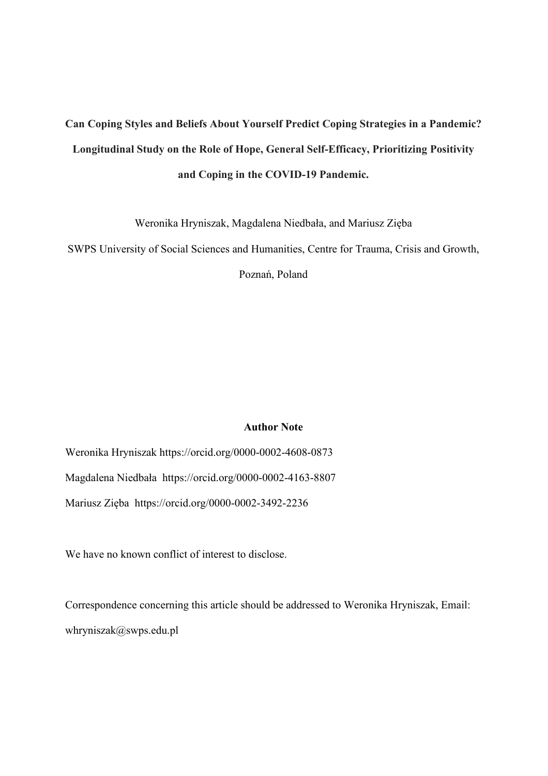# **Can Coping Styles and Beliefs About Yourself Predict Coping Strategies in a Pandemic? Longitudinal Study on the Role of Hope, General Self-Efficacy, Prioritizing Positivity and Coping in the COVID-19 Pandemic.**

Weronika Hryniszak, Magdalena Niedbała, and Mariusz Zięba

SWPS University of Social Sciences and Humanities, Centre for Trauma, Crisis and Growth,

Poznań, Poland

## **Author Note**

Weronika Hryniszak https://orcid.org/0000-0002-4608-0873 Magdalena Niedbała https://orcid.org/0000-0002-4163-8807 Mariusz Zięba https://orcid.org/0000-0002-3492-2236

We have no known conflict of interest to disclose.

Correspondence concerning this article should be addressed to Weronika Hryniszak, Email: whryniszak@swps.edu.pl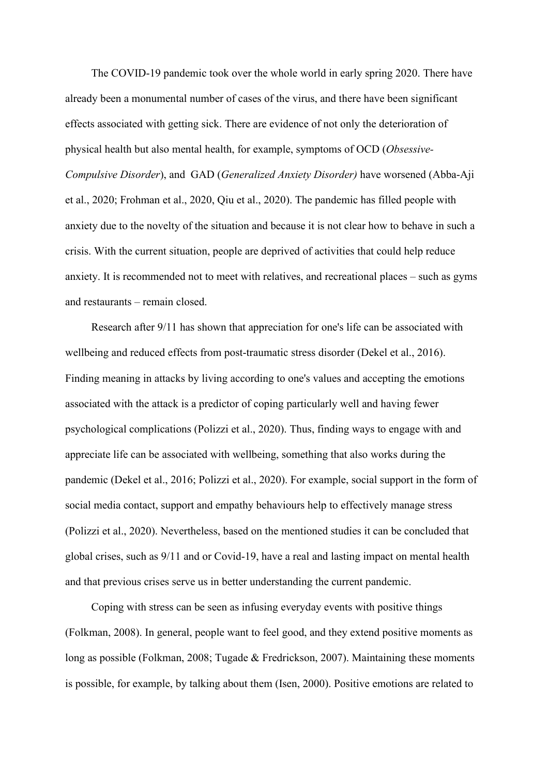The COVID-19 pandemic took over the whole world in early spring 2020. There have already been a monumental number of cases of the virus, and there have been significant effects associated with getting sick. There are evidence of not only the deterioration of physical health but also mental health, for example, symptoms of OCD (*Obsessive-Compulsive Disorder*), and GAD (*Generalized Anxiety Disorder)* have worsened (Abba-Aji et al., 2020; Frohman et al., 2020, Qiu et al., 2020). The pandemic has filled people with anxiety due to the novelty of the situation and because it is not clear how to behave in such a crisis. With the current situation, people are deprived of activities that could help reduce anxiety. It is recommended not to meet with relatives, and recreational places – such as gyms and restaurants – remain closed.

Research after 9/11 has shown that appreciation for one's life can be associated with wellbeing and reduced effects from post-traumatic stress disorder (Dekel et al., 2016). Finding meaning in attacks by living according to one's values and accepting the emotions associated with the attack is a predictor of coping particularly well and having fewer psychological complications (Polizzi et al., 2020). Thus, finding ways to engage with and appreciate life can be associated with wellbeing, something that also works during the pandemic (Dekel et al., 2016; Polizzi et al., 2020). For example, social support in the form of social media contact, support and empathy behaviours help to effectively manage stress (Polizzi et al., 2020). Nevertheless, based on the mentioned studies it can be concluded that global crises, such as 9/11 and or Covid-19, have a real and lasting impact on mental health and that previous crises serve us in better understanding the current pandemic.

Coping with stress can be seen as infusing everyday events with positive things (Folkman, 2008). In general, people want to feel good, and they extend positive moments as long as possible (Folkman, 2008; Tugade & Fredrickson, 2007). Maintaining these moments is possible, for example, by talking about them (Isen, 2000). Positive emotions are related to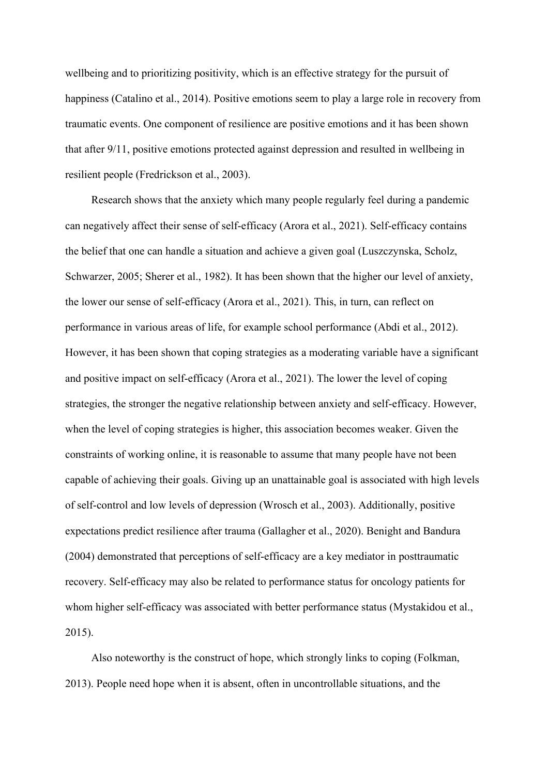wellbeing and to prioritizing positivity, which is an effective strategy for the pursuit of happiness (Catalino et al., 2014). Positive emotions seem to play a large role in recovery from traumatic events. One component of resilience are positive emotions and it has been shown that after 9/11, positive emotions protected against depression and resulted in wellbeing in resilient people (Fredrickson et al., 2003).

Research shows that the anxiety which many people regularly feel during a pandemic can negatively affect their sense of self-efficacy (Arora et al., 2021). Self-efficacy contains the belief that one can handle a situation and achieve a given goal (Luszczynska, Scholz, Schwarzer, 2005; Sherer et al., 1982). It has been shown that the higher our level of anxiety, the lower our sense of self-efficacy (Arora et al., 2021). This, in turn, can reflect on performance in various areas of life, for example school performance (Abdi et al., 2012). However, it has been shown that coping strategies as a moderating variable have a significant and positive impact on self-efficacy (Arora et al., 2021). The lower the level of coping strategies, the stronger the negative relationship between anxiety and self-efficacy. However, when the level of coping strategies is higher, this association becomes weaker. Given the constraints of working online, it is reasonable to assume that many people have not been capable of achieving their goals. Giving up an unattainable goal is associated with high levels of self-control and low levels of depression (Wrosch et al., 2003). Additionally, positive expectations predict resilience after trauma (Gallagher et al., 2020). Benight and Bandura (2004) demonstrated that perceptions of self-efficacy are a key mediator in posttraumatic recovery. Self-efficacy may also be related to performance status for oncology patients for whom higher self-efficacy was associated with better performance status (Mystakidou et al., 2015).

Also noteworthy is the construct of hope, which strongly links to coping (Folkman, 2013). People need hope when it is absent, often in uncontrollable situations, and the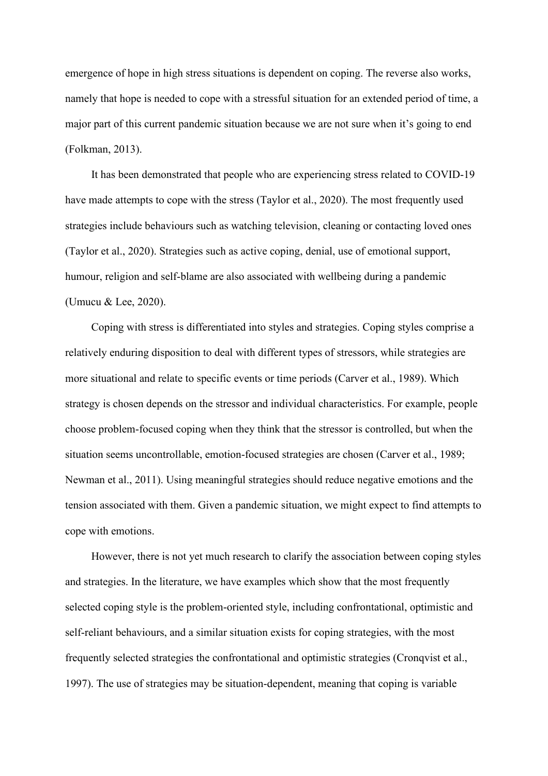emergence of hope in high stress situations is dependent on coping. The reverse also works, namely that hope is needed to cope with a stressful situation for an extended period of time, a major part of this current pandemic situation because we are not sure when it's going to end (Folkman, 2013).

It has been demonstrated that people who are experiencing stress related to COVID-19 have made attempts to cope with the stress (Taylor et al., 2020). The most frequently used strategies include behaviours such as watching television, cleaning or contacting loved ones (Taylor et al., 2020). Strategies such as active coping, denial, use of emotional support, humour, religion and self-blame are also associated with wellbeing during a pandemic (Umucu & Lee, 2020).

Coping with stress is differentiated into styles and strategies. Coping styles comprise a relatively enduring disposition to deal with different types of stressors, while strategies are more situational and relate to specific events or time periods (Carver et al., 1989). Which strategy is chosen depends on the stressor and individual characteristics. For example, people choose problem-focused coping when they think that the stressor is controlled, but when the situation seems uncontrollable, emotion-focused strategies are chosen (Carver et al., 1989; Newman et al., 2011). Using meaningful strategies should reduce negative emotions and the tension associated with them. Given a pandemic situation, we might expect to find attempts to cope with emotions.

However, there is not yet much research to clarify the association between coping styles and strategies. In the literature, we have examples which show that the most frequently selected coping style is the problem-oriented style, including confrontational, optimistic and self-reliant behaviours, and a similar situation exists for coping strategies, with the most frequently selected strategies the confrontational and optimistic strategies (Cronqvist et al., 1997). The use of strategies may be situation-dependent, meaning that coping is variable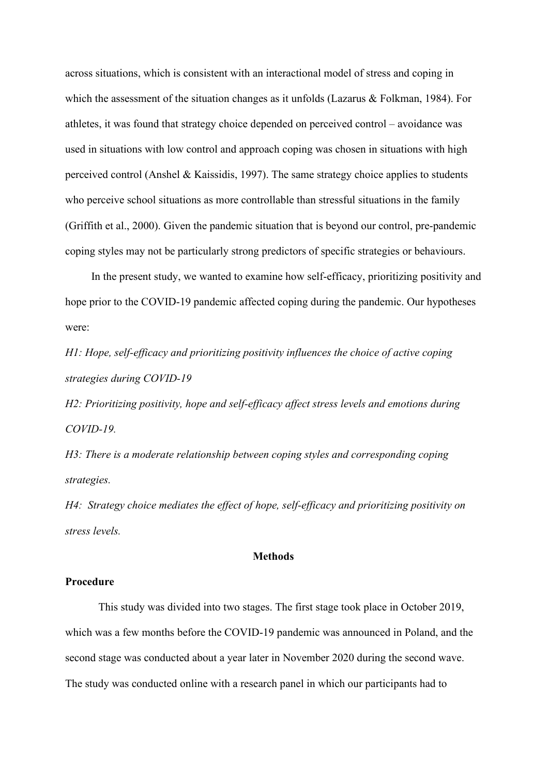across situations, which is consistent with an interactional model of stress and coping in which the assessment of the situation changes as it unfolds (Lazarus & Folkman, 1984). For athletes, it was found that strategy choice depended on perceived control – avoidance was used in situations with low control and approach coping was chosen in situations with high perceived control (Anshel & Kaissidis, 1997). The same strategy choice applies to students who perceive school situations as more controllable than stressful situations in the family (Griffith et al., 2000). Given the pandemic situation that is beyond our control, pre-pandemic coping styles may not be particularly strong predictors of specific strategies or behaviours.

In the present study, we wanted to examine how self-efficacy, prioritizing positivity and hope prior to the COVID-19 pandemic affected coping during the pandemic. Our hypotheses were:

*H1: Hope, self-efficacy and prioritizing positivity influences the choice of active coping strategies during COVID-19*

*H2: Prioritizing positivity, hope and self-efficacy affect stress levels and emotions during COVID-19.*

*H3: There is a moderate relationship between coping styles and corresponding coping strategies.*

*H4: Strategy choice mediates the effect of hope, self-efficacy and prioritizing positivity on stress levels.* 

## **Methods**

## **Procedure**

This study was divided into two stages. The first stage took place in October 2019, which was a few months before the COVID-19 pandemic was announced in Poland, and the second stage was conducted about a year later in November 2020 during the second wave. The study was conducted online with a research panel in which our participants had to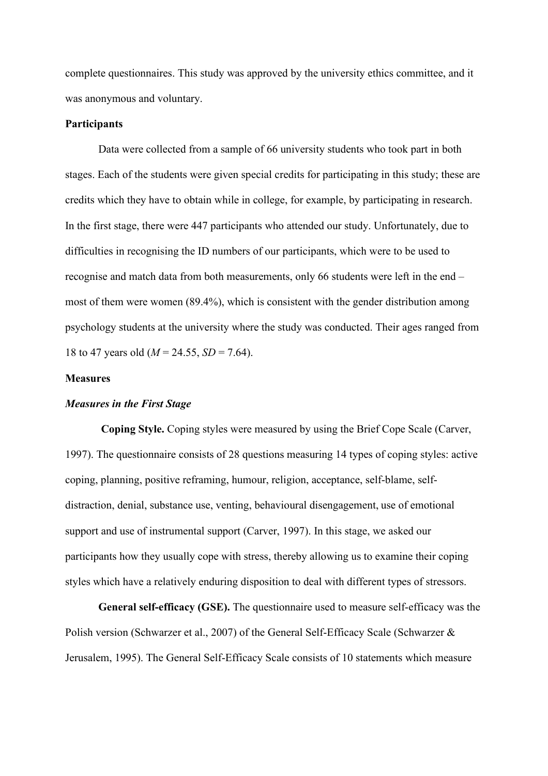complete questionnaires. This study was approved by the university ethics committee, and it was anonymous and voluntary.

## **Participants**

Data were collected from a sample of 66 university students who took part in both stages. Each of the students were given special credits for participating in this study; these are credits which they have to obtain while in college, for example, by participating in research. In the first stage, there were 447 participants who attended our study. Unfortunately, due to difficulties in recognising the ID numbers of our participants, which were to be used to recognise and match data from both measurements, only 66 students were left in the end – most of them were women (89.4%), which is consistent with the gender distribution among psychology students at the university where the study was conducted. Their ages ranged from 18 to 47 years old (*M* = 24.55, *SD* = 7.64).

## **Measures**

## *Measures in the First Stage*

**Coping Style.** Coping styles were measured by using the Brief Cope Scale (Carver, 1997). The questionnaire consists of 28 questions measuring 14 types of coping styles: active coping, planning, positive reframing, humour, religion, acceptance, self-blame, selfdistraction, denial, substance use, venting, behavioural disengagement, use of emotional support and use of instrumental support (Carver, 1997). In this stage, we asked our participants how they usually cope with stress, thereby allowing us to examine their coping styles which have a relatively enduring disposition to deal with different types of stressors.

**General self-efficacy (GSE).** The questionnaire used to measure self-efficacy was the Polish version (Schwarzer et al., 2007) of the General Self-Efficacy Scale (Schwarzer & Jerusalem, 1995). The General Self-Efficacy Scale consists of 10 statements which measure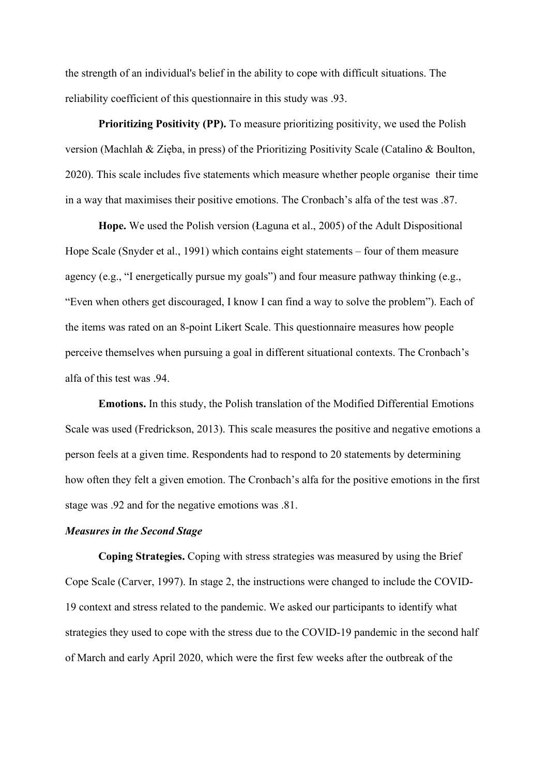the strength of an individual's belief in the ability to cope with difficult situations. The reliability coefficient of this questionnaire in this study was .93.

**Prioritizing Positivity (PP).** To measure prioritizing positivity, we used the Polish version (Machlah & Zięba, in press) of the Prioritizing Positivity Scale (Catalino & Boulton, 2020). This scale includes five statements which measure whether people organise their time in a way that maximises their positive emotions. The Cronbach's alfa of the test was .87.

**Hope.** We used the Polish version (Łaguna et al., 2005) of the Adult Dispositional Hope Scale (Snyder et al., 1991) which contains eight statements – four of them measure agency (e.g., "I energetically pursue my goals") and four measure pathway thinking (e.g., "Even when others get discouraged, I know I can find a way to solve the problem"). Each of the items was rated on an 8-point Likert Scale. This questionnaire measures how people perceive themselves when pursuing a goal in different situational contexts. The Cronbach's alfa of this test was .94.

**Emotions.** In this study, the Polish translation of the Modified Differential Emotions Scale was used (Fredrickson, 2013). This scale measures the positive and negative emotions a person feels at a given time. Respondents had to respond to 20 statements by determining how often they felt a given emotion. The Cronbach's alfa for the positive emotions in the first stage was .92 and for the negative emotions was .81.

## *Measures in the Second Stage*

**Coping Strategies.** Coping with stress strategies was measured by using the Brief Cope Scale (Carver, 1997). In stage 2, the instructions were changed to include the COVID-19 context and stress related to the pandemic. We asked our participants to identify what strategies they used to cope with the stress due to the COVID-19 pandemic in the second half of March and early April 2020, which were the first few weeks after the outbreak of the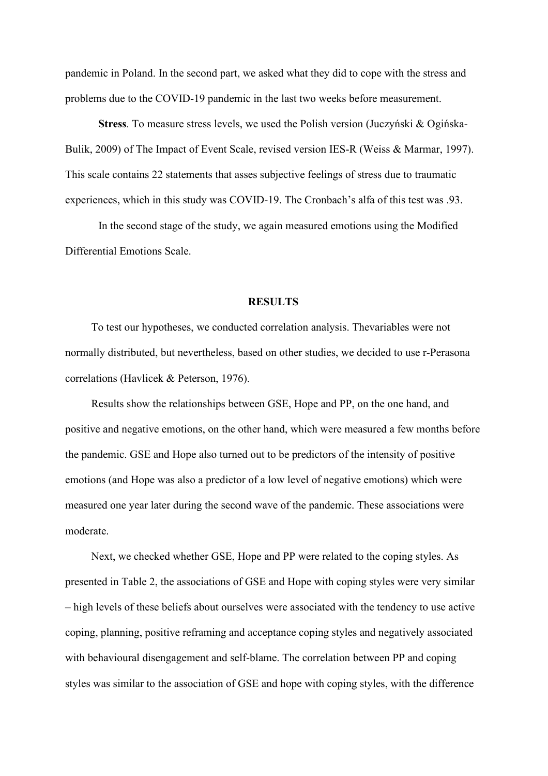pandemic in Poland. In the second part, we asked what they did to cope with the stress and problems due to the COVID-19 pandemic in the last two weeks before measurement.

**Stress***.* To measure stress levels, we used the Polish version (Juczyński & Ogińska-Bulik, 2009) of The Impact of Event Scale, revised version IES-R (Weiss & Marmar, 1997). This scale contains 22 statements that asses subjective feelings of stress due to traumatic experiences, which in this study was COVID-19. The Cronbach's alfa of this test was .93.

In the second stage of the study, we again measured emotions using the Modified Differential Emotions Scale.

#### **RESULTS**

To test our hypotheses, we conducted correlation analysis. Thevariables were not normally distributed, but nevertheless, based on other studies, we decided to use r-Perasona correlations (Havlicek & Peterson, 1976).

Results show the relationships between GSE, Hope and PP, on the one hand, and positive and negative emotions, on the other hand, which were measured a few months before the pandemic. GSE and Hope also turned out to be predictors of the intensity of positive emotions (and Hope was also a predictor of a low level of negative emotions) which were measured one year later during the second wave of the pandemic. These associations were moderate.

Next, we checked whether GSE, Hope and PP were related to the coping styles. As presented in Table 2, the associations of GSE and Hope with coping styles were very similar – high levels of these beliefs about ourselves were associated with the tendency to use active coping, planning, positive reframing and acceptance coping styles and negatively associated with behavioural disengagement and self-blame. The correlation between PP and coping styles was similar to the association of GSE and hope with coping styles, with the difference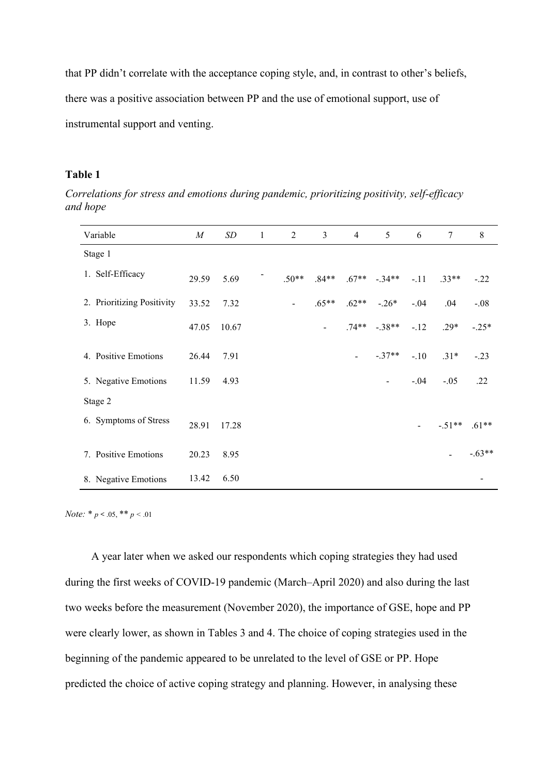that PP didn't correlate with the acceptance coping style, and, in contrast to other's beliefs, there was a positive association between PP and the use of emotional support, use of instrumental support and venting.

# **Table 1**

*Correlations for stress and emotions during pandemic, prioritizing positivity, self-efficacy and hope*

| Variable                   | $\boldsymbol{M}$ | SD    | $\mathbf{1}$ | $\overline{2}$ | 3       | $\overline{4}$ | 5                 | 6      | $\tau$         | 8        |
|----------------------------|------------------|-------|--------------|----------------|---------|----------------|-------------------|--------|----------------|----------|
| Stage 1                    |                  |       |              |                |         |                |                   |        |                |          |
| 1. Self-Efficacy           | 29.59            | 5.69  |              | $.50**$        | $.84**$ |                | $.67***$ $-.34**$ | $-.11$ | $.33**$        | $-.22$   |
| 2. Prioritizing Positivity | 33.52            | 7.32  |              | $\blacksquare$ | $.65**$ | $.62**$        | $-.26*$           | $-.04$ | .04            | $-.08$   |
| 3. Hope                    | 47.05            | 10.67 |              |                |         |                | $.74***$ $-.38**$ | $-12$  | $.29*$         | $-.25*$  |
| 4. Positive Emotions       | 26.44            | 7.91  |              |                |         |                | $-.37**$          | $-.10$ | $.31*$         | $-.23$   |
| 5. Negative Emotions       | 11.59            | 4.93  |              |                |         |                | $\blacksquare$    | $-.04$ | $-.05$         | .22      |
| Stage 2                    |                  |       |              |                |         |                |                   |        |                |          |
| 6. Symptoms of Stress      | 28.91            | 17.28 |              |                |         |                |                   |        | $-.51**$       | $.61**$  |
| 7. Positive Emotions       | 20.23            | 8.95  |              |                |         |                |                   |        | $\blacksquare$ | $-.63**$ |
| 8. Negative Emotions       | 13.42            | 6.50  |              |                |         |                |                   |        |                |          |

*Note:* \* *p* < .05, \*\* *p <* .01

A year later when we asked our respondents which coping strategies they had used during the first weeks of COVID-19 pandemic (March–April 2020) and also during the last two weeks before the measurement (November 2020), the importance of GSE, hope and PP were clearly lower, as shown in Tables 3 and 4. The choice of coping strategies used in the beginning of the pandemic appeared to be unrelated to the level of GSE or PP. Hope predicted the choice of active coping strategy and planning. However, in analysing these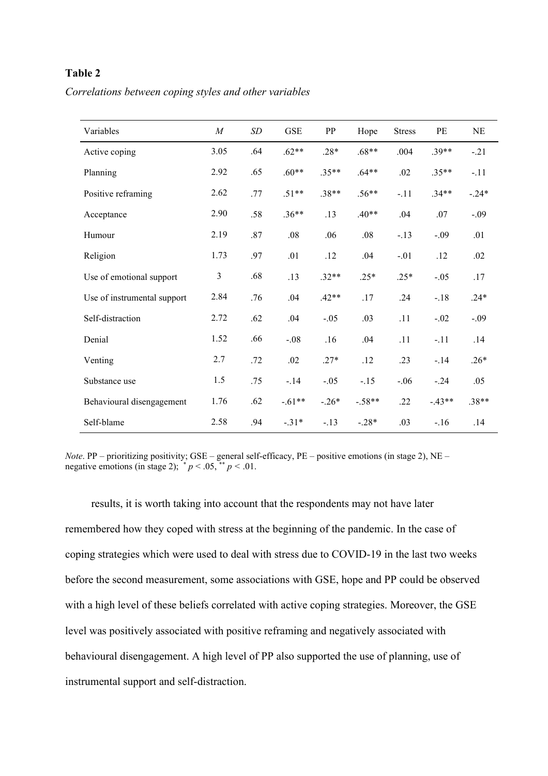# **Table 2**

*Correlations between coping styles and other variables*

| Variables                   | $\boldsymbol{M}$ | $\cal SD$ | <b>GSE</b> | PP      | Hope     | <b>Stress</b> | PE       | NE      |
|-----------------------------|------------------|-----------|------------|---------|----------|---------------|----------|---------|
| Active coping               | 3.05             | .64       | $.62**$    | $.28*$  | $.68**$  | .004          | $.39**$  | $-.21$  |
| Planning                    | 2.92             | .65       | $.60**$    | $.35**$ | $.64**$  | .02           | $.35**$  | $-.11$  |
| Positive reframing          | 2.62             | .77       | $.51**$    | $.38**$ | $.56**$  | $-.11$        | $.34**$  | $-.24*$ |
| Acceptance                  | 2.90             | .58       | $.36**$    | .13     | $.40**$  | .04           | .07      | $-.09$  |
| Humour                      | 2.19             | $.87\,$   | .08        | .06     | .08      | $-.13$        | $-.09$   | .01     |
| Religion                    | 1.73             | .97       | .01        | .12     | .04      | $-.01$        | .12      | .02     |
| Use of emotional support    | 3                | .68       | .13        | $.32**$ | $.25*$   | $.25*$        | $-.05$   | .17     |
| Use of instrumental support | 2.84             | .76       | .04        | $.42**$ | .17      | .24           | $-.18$   | $.24*$  |
| Self-distraction            | 2.72             | .62       | .04        | $-.05$  | .03      | .11           | $-.02$   | $-.09$  |
| Denial                      | 1.52             | .66       | $-.08$     | .16     | .04      | .11           | $-.11$   | .14     |
| Venting                     | 2.7              | .72       | .02        | $.27*$  | .12      | .23           | $-.14$   | $.26*$  |
| Substance use               | 1.5              | .75       | $-14$      | $-.05$  | $-.15$   | $-.06$        | $-.24$   | .05     |
| Behavioural disengagement   | 1.76             | .62       | $-.61**$   | $-.26*$ | $-.58**$ | .22           | $-.43**$ | $.38**$ |
| Self-blame                  | 2.58             | .94       | $-.31*$    | $-.13$  | $-.28*$  | .03           | $-.16$   | .14     |

*Note*. PP – prioritizing positivity; GSE – general self-efficacy, PE – positive emotions (in stage 2), NE – negative emotions (in stage 2);  $p < .05$ ,  $p < .01$ .

results, it is worth taking into account that the respondents may not have later remembered how they coped with stress at the beginning of the pandemic. In the case of coping strategies which were used to deal with stress due to COVID-19 in the last two weeks before the second measurement, some associations with GSE, hope and PP could be observed with a high level of these beliefs correlated with active coping strategies. Moreover, the GSE level was positively associated with positive reframing and negatively associated with behavioural disengagement. A high level of PP also supported the use of planning, use of instrumental support and self-distraction.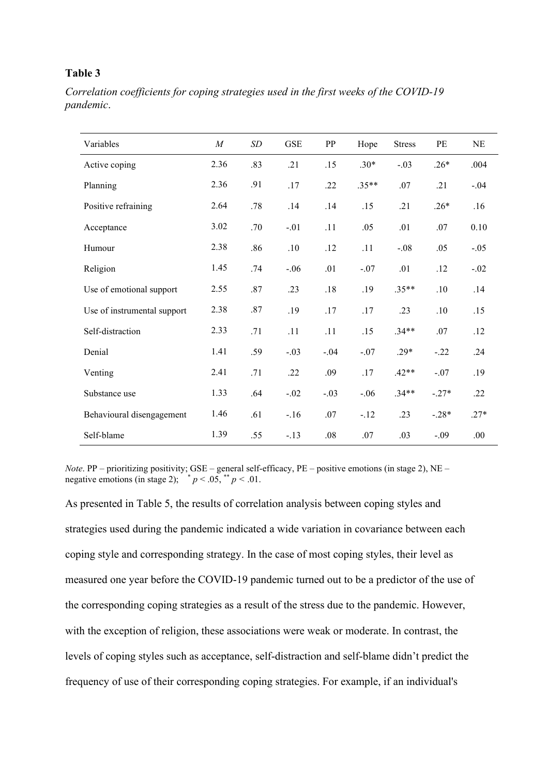## **Table 3**

*Correlation coefficients for coping strategies used in the first weeks of the COVID-19 pandemic*.

| Variables                   | $\boldsymbol{M}$ | SD      | <b>GSE</b> | PP      | Hope    | <b>Stress</b> | PE      | <b>NE</b> |
|-----------------------------|------------------|---------|------------|---------|---------|---------------|---------|-----------|
| Active coping               | 2.36             | .83     | .21        | .15     | $.30*$  | $-.03$        | $.26*$  | .004      |
| Planning                    | 2.36             | .91     | .17        | .22     | $.35**$ | .07           | .21     | $-.04$    |
| Positive refraining         | 2.64             | .78     | .14        | .14     | .15     | .21           | $.26*$  | .16       |
| Acceptance                  | 3.02             | .70     | $-.01$     | .11     | .05     | .01           | .07     | 0.10      |
| Humour                      | 2.38             | .86     | .10        | .12     | .11     | $-.08$        | .05     | $-.05$    |
| Religion                    | 1.45             | .74     | $-.06$     | .01     | $-.07$  | .01           | .12     | $-.02$    |
| Use of emotional support    | 2.55             | $.87\,$ | .23        | $.18$   | .19     | $.35**$       | .10     | .14       |
| Use of instrumental support | 2.38             | .87     | .19        | .17     | .17     | .23           | .10     | .15       |
| Self-distraction            | 2.33             | .71     | .11        | .11     | .15     | $.34**$       | $.07$   | .12       |
| Denial                      | 1.41             | .59     | $-.03$     | $-.04$  | $-.07$  | $.29*$        | $-.22$  | .24       |
| Venting                     | 2.41             | .71     | .22        | .09     | .17     | $.42**$       | $-.07$  | .19       |
| Substance use               | 1.33             | .64     | $-.02$     | $-.03$  | $-.06$  | $.34**$       | $-.27*$ | .22       |
| Behavioural disengagement   | 1.46             | .61     | $-.16$     | .07     | $-.12$  | .23           | $-.28*$ | $.27*$    |
| Self-blame                  | 1.39             | .55     | $-.13$     | $.08\,$ | $.07\,$ | .03           | $-.09$  | .00.      |

*Note*. PP – prioritizing positivity; GSE – general self-efficacy, PE – positive emotions (in stage 2), NE – negative emotions (in stage 2);  $\sqrt{\binom{p}{n}}$  < .05,  $\sqrt{\binom{p}{n}}$  < .01.

As presented in Table 5, the results of correlation analysis between coping styles and strategies used during the pandemic indicated a wide variation in covariance between each coping style and corresponding strategy. In the case of most coping styles, their level as measured one year before the COVID-19 pandemic turned out to be a predictor of the use of the corresponding coping strategies as a result of the stress due to the pandemic. However, with the exception of religion, these associations were weak or moderate. In contrast, the levels of coping styles such as acceptance, self-distraction and self-blame didn't predict the frequency of use of their corresponding coping strategies. For example, if an individual's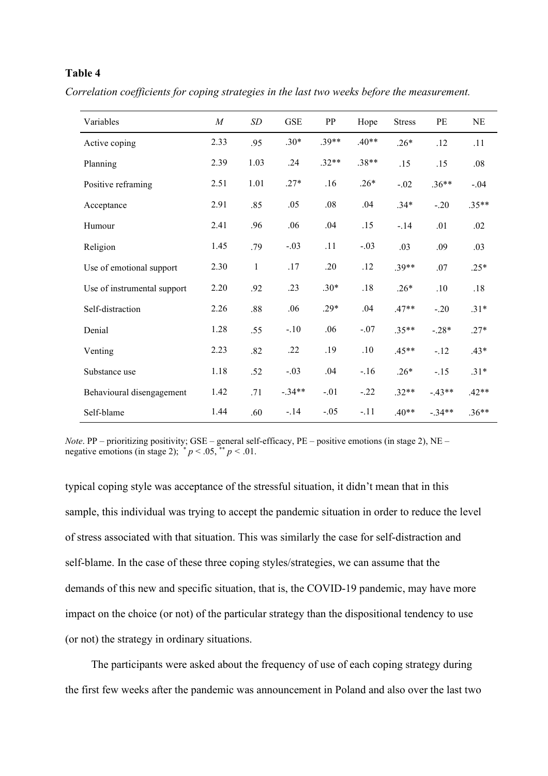# **Table 4**

*Correlation coefficients for coping strategies in the last two weeks before the measurement.* 

| Variables                   | $\boldsymbol{M}$ | SD           | <b>GSE</b> | PP      | Hope    | <b>Stress</b> | PE       | NE      |
|-----------------------------|------------------|--------------|------------|---------|---------|---------------|----------|---------|
| Active coping               | 2.33             | .95          | $.30*$     | $.39**$ | $.40**$ | $.26*$        | .12      | .11     |
| Planning                    | 2.39             | 1.03         | .24        | $.32**$ | $.38**$ | .15           | .15      | .08     |
| Positive reframing          | 2.51             | 1.01         | $.27*$     | .16     | $.26*$  | $-.02$        | $.36**$  | $-.04$  |
| Acceptance                  | 2.91             | .85          | .05        | .08     | .04     | $.34*$        | $-.20$   | $.35**$ |
| Humour                      | 2.41             | .96          | .06        | .04     | .15     | $-.14$        | .01      | .02     |
| Religion                    | 1.45             | .79          | $-.03$     | .11     | $-.03$  | .03           | .09      | .03     |
| Use of emotional support    | 2.30             | $\mathbf{1}$ | .17        | .20     | .12     | $.39**$       | .07      | $.25*$  |
| Use of instrumental support | 2.20             | .92          | .23        | $.30*$  | $.18$   | $.26*$        | .10      | .18     |
| Self-distraction            | 2.26             | .88          | .06        | $.29*$  | .04     | $.47**$       | $-.20$   | $.31*$  |
| Denial                      | 1.28             | .55          | $-.10$     | .06     | $-.07$  | $.35**$       | $-.28*$  | $.27*$  |
| Venting                     | 2.23             | .82          | .22        | .19     | .10     | $.45**$       | $-.12$   | $.43*$  |
| Substance use               | 1.18             | .52          | $-.03$     | .04     | $-.16$  | $.26*$        | $-.15$   | $.31*$  |
| Behavioural disengagement   | 1.42             | .71          | $-.34**$   | $-.01$  | $-.22$  | $.32**$       | $-43**$  | $.42**$ |
| Self-blame                  | 1.44             | .60          | $-.14$     | $-.05$  | $-.11$  | $.40**$       | $-.34**$ | $.36**$ |

*Note*. PP – prioritizing positivity; GSE – general self-efficacy, PE – positive emotions (in stage 2), NE – negative emotions (in stage 2);  $^*p < .05$ ,  $^*p < .01$ .

typical coping style was acceptance of the stressful situation, it didn't mean that in this sample, this individual was trying to accept the pandemic situation in order to reduce the level of stress associated with that situation. This was similarly the case for self-distraction and self-blame. In the case of these three coping styles/strategies, we can assume that the demands of this new and specific situation, that is, the COVID-19 pandemic, may have more impact on the choice (or not) of the particular strategy than the dispositional tendency to use (or not) the strategy in ordinary situations.

The participants were asked about the frequency of use of each coping strategy during the first few weeks after the pandemic was announcement in Poland and also over the last two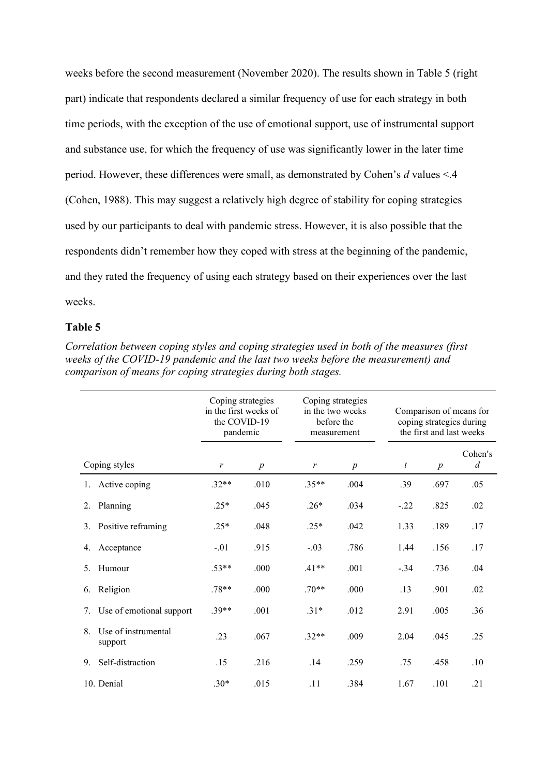weeks before the second measurement (November 2020). The results shown in Table 5 (right part) indicate that respondents declared a similar frequency of use for each strategy in both time periods, with the exception of the use of emotional support, use of instrumental support and substance use, for which the frequency of use was significantly lower in the later time period. However, these differences were small, as demonstrated by Cohen's *d* values <.4 (Cohen, 1988). This may suggest a relatively high degree of stability for coping strategies used by our participants to deal with pandemic stress. However, it is also possible that the respondents didn't remember how they coped with stress at the beginning of the pandemic, and they rated the frequency of using each strategy based on their experiences over the last weeks.

# **Table 5**

|                                      | Coping strategies<br>in the first weeks of<br>the COVID-19<br>pandemic |                  | Coping strategies<br>in the two weeks<br>before the<br>measurement |                  | Comparison of means for<br>coping strategies during<br>the first and last weeks |                  |                             |  |
|--------------------------------------|------------------------------------------------------------------------|------------------|--------------------------------------------------------------------|------------------|---------------------------------------------------------------------------------|------------------|-----------------------------|--|
| Coping styles                        | $\boldsymbol{r}$                                                       | $\boldsymbol{p}$ | r                                                                  | $\boldsymbol{p}$ | $\boldsymbol{t}$                                                                | $\boldsymbol{p}$ | Cohen's<br>$\boldsymbol{d}$ |  |
| 1. Active coping                     | $.32**$                                                                | .010             | $.35**$                                                            | .004             | .39                                                                             | .697             | .05                         |  |
| Planning<br>2.                       | $.25*$                                                                 | .045             | $.26*$                                                             | .034             | $-.22$                                                                          | .825             | .02                         |  |
| Positive reframing<br>3.             | $.25*$                                                                 | .048             | $.25*$                                                             | .042             | 1.33                                                                            | .189             | .17                         |  |
| Acceptance<br>4.                     | $-.01$                                                                 | .915             | $-.03$                                                             | .786             | 1.44                                                                            | .156             | .17                         |  |
| Humour<br>5.                         | $.53**$                                                                | .000             | $.41**$                                                            | .001             | $-.34$                                                                          | .736             | .04                         |  |
| Religion<br>6.                       | $.78**$                                                                | .000             | $.70**$                                                            | .000             | .13                                                                             | .901             | .02                         |  |
| Use of emotional support<br>7.       | $.39**$                                                                | .001             | $.31*$                                                             | .012             | 2.91                                                                            | .005             | .36                         |  |
| Use of instrumental<br>8.<br>support | .23                                                                    | .067             | $.32**$                                                            | .009             | 2.04                                                                            | .045             | .25                         |  |
| Self-distraction<br>9.               | .15                                                                    | .216             | .14                                                                | .259             | .75                                                                             | .458             | .10                         |  |
| 10. Denial                           | $.30*$                                                                 | .015             | .11                                                                | .384             | 1.67                                                                            | .101             | .21                         |  |

*Correlation between coping styles and coping strategies used in both of the measures (first weeks of the COVID-19 pandemic and the last two weeks before the measurement) and comparison of means for coping strategies during both stages.*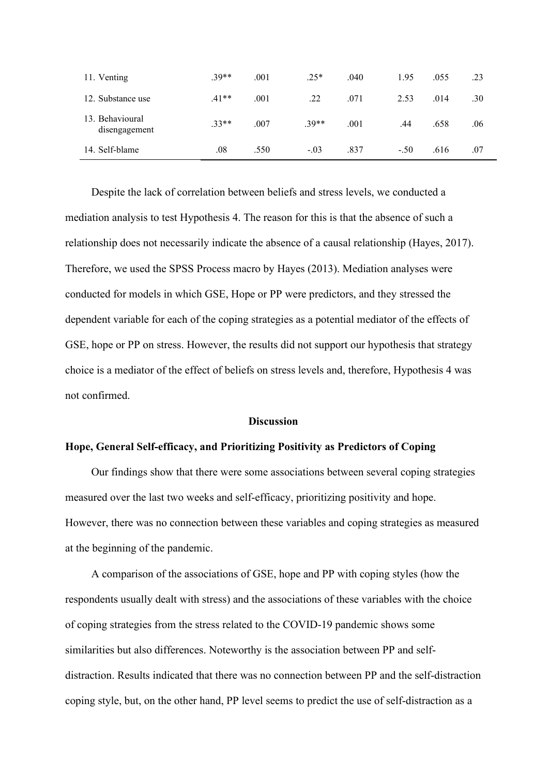| 11. Venting                      | $.39**$ | .001 | $.25*$  | .040 | 1.95   | .055 | .23 |
|----------------------------------|---------|------|---------|------|--------|------|-----|
| 12. Substance use                | $.41**$ | .001 | .22     | .071 | 2.53   | .014 | .30 |
| 13. Behavioural<br>disengagement | $.33**$ | .007 | $.39**$ | .001 | .44    | .658 | .06 |
| 14. Self-blame                   | .08     | .550 | $-.03$  | .837 | $-.50$ | .616 | .07 |

Despite the lack of correlation between beliefs and stress levels, we conducted a mediation analysis to test Hypothesis 4. The reason for this is that the absence of such a relationship does not necessarily indicate the absence of a causal relationship (Hayes, 2017). Therefore, we used the SPSS Process macro by Hayes (2013). Mediation analyses were conducted for models in which GSE, Hope or PP were predictors, and they stressed the dependent variable for each of the coping strategies as a potential mediator of the effects of GSE, hope or PP on stress. However, the results did not support our hypothesis that strategy choice is a mediator of the effect of beliefs on stress levels and, therefore, Hypothesis 4 was not confirmed.

## **Discussion**

## **Hope, General Self-efficacy, and Prioritizing Positivity as Predictors of Coping**

Our findings show that there were some associations between several coping strategies measured over the last two weeks and self-efficacy, prioritizing positivity and hope. However, there was no connection between these variables and coping strategies as measured at the beginning of the pandemic.

A comparison of the associations of GSE, hope and PP with coping styles (how the respondents usually dealt with stress) and the associations of these variables with the choice of coping strategies from the stress related to the COVID-19 pandemic shows some similarities but also differences. Noteworthy is the association between PP and selfdistraction. Results indicated that there was no connection between PP and the self-distraction coping style, but, on the other hand, PP level seems to predict the use of self-distraction as a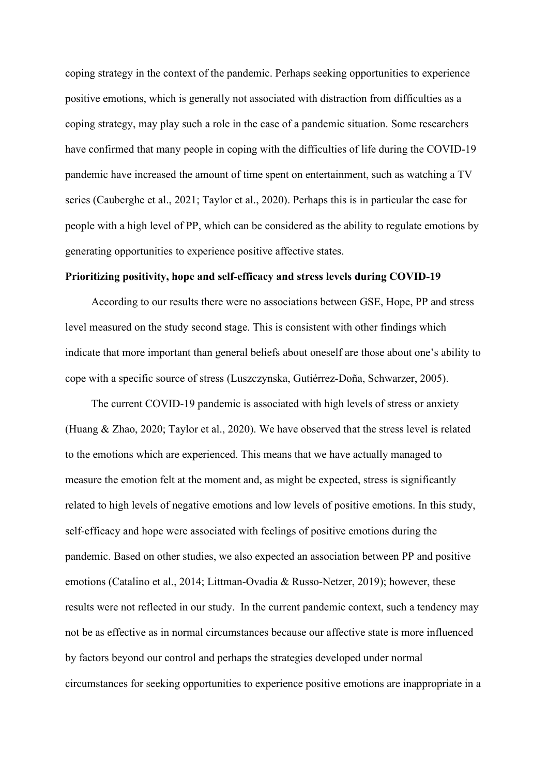coping strategy in the context of the pandemic. Perhaps seeking opportunities to experience positive emotions, which is generally not associated with distraction from difficulties as a coping strategy, may play such a role in the case of a pandemic situation. Some researchers have confirmed that many people in coping with the difficulties of life during the COVID-19 pandemic have increased the amount of time spent on entertainment, such as watching a TV series (Cauberghe et al., 2021; Taylor et al., 2020). Perhaps this is in particular the case for people with a high level of PP, which can be considered as the ability to regulate emotions by generating opportunities to experience positive affective states.

## **Prioritizing positivity, hope and self-efficacy and stress levels during COVID-19**

According to our results there were no associations between GSE, Hope, PP and stress level measured on the study second stage. This is consistent with other findings which indicate that more important than general beliefs about oneself are those about one's ability to cope with a specific source of stress (Luszczynska, Gutiérrez‐Doña, Schwarzer, 2005).

The current COVID-19 pandemic is associated with high levels of stress or anxiety (Huang & Zhao, 2020; Taylor et al., 2020). We have observed that the stress level is related to the emotions which are experienced. This means that we have actually managed to measure the emotion felt at the moment and, as might be expected, stress is significantly related to high levels of negative emotions and low levels of positive emotions. In this study, self-efficacy and hope were associated with feelings of positive emotions during the pandemic. Based on other studies, we also expected an association between PP and positive emotions (Catalino et al., 2014; Littman-Ovadia & Russo-Netzer, 2019); however, these results were not reflected in our study. In the current pandemic context, such a tendency may not be as effective as in normal circumstances because our affective state is more influenced by factors beyond our control and perhaps the strategies developed under normal circumstances for seeking opportunities to experience positive emotions are inappropriate in a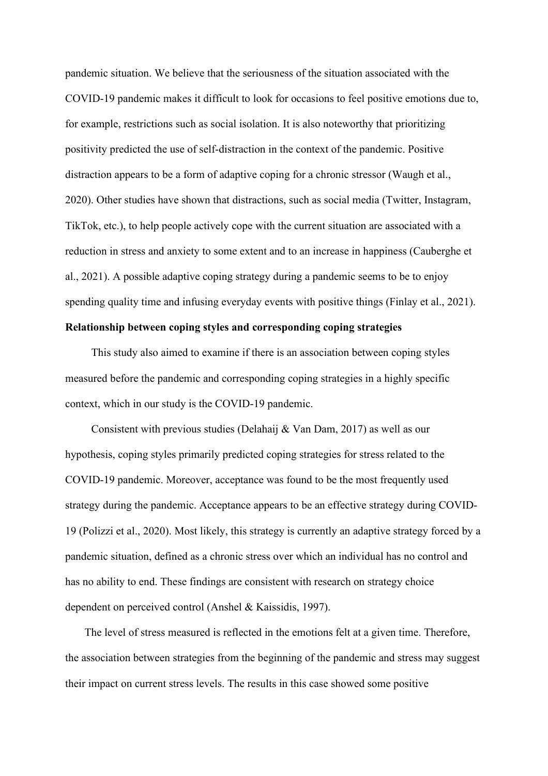pandemic situation. We believe that the seriousness of the situation associated with the COVID-19 pandemic makes it difficult to look for occasions to feel positive emotions due to, for example, restrictions such as social isolation. It is also noteworthy that prioritizing positivity predicted the use of self-distraction in the context of the pandemic. Positive distraction appears to be a form of adaptive coping for a chronic stressor (Waugh et al., 2020). Other studies have shown that distractions, such as social media (Twitter, Instagram, TikTok, etc.), to help people actively cope with the current situation are associated with a reduction in stress and anxiety to some extent and to an increase in happiness (Cauberghe et al., 2021). A possible adaptive coping strategy during a pandemic seems to be to enjoy spending quality time and infusing everyday events with positive things (Finlay et al., 2021).

# **Relationship between coping styles and corresponding coping strategies**

This study also aimed to examine if there is an association between coping styles measured before the pandemic and corresponding coping strategies in a highly specific context, which in our study is the COVID-19 pandemic.

Consistent with previous studies (Delahaij & Van Dam, 2017) as well as our hypothesis, coping styles primarily predicted coping strategies for stress related to the COVID-19 pandemic. Moreover, acceptance was found to be the most frequently used strategy during the pandemic. Acceptance appears to be an effective strategy during COVID-19 (Polizzi et al., 2020). Most likely, this strategy is currently an adaptive strategy forced by a pandemic situation, defined as a chronic stress over which an individual has no control and has no ability to end. These findings are consistent with research on strategy choice dependent on perceived control (Anshel & Kaissidis, 1997).

The level of stress measured is reflected in the emotions felt at a given time. Therefore, the association between strategies from the beginning of the pandemic and stress may suggest their impact on current stress levels. The results in this case showed some positive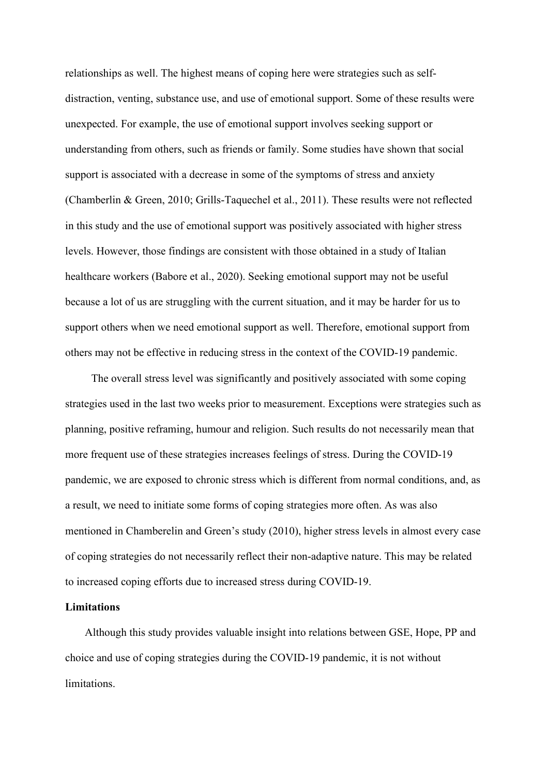relationships as well. The highest means of coping here were strategies such as selfdistraction, venting, substance use, and use of emotional support. Some of these results were unexpected. For example, the use of emotional support involves seeking support or understanding from others, such as friends or family. Some studies have shown that social support is associated with a decrease in some of the symptoms of stress and anxiety (Chamberlin & Green, 2010; Grills-Taquechel et al., 2011). These results were not reflected in this study and the use of emotional support was positively associated with higher stress levels. However, those findings are consistent with those obtained in a study of Italian healthcare workers (Babore et al., 2020). Seeking emotional support may not be useful because a lot of us are struggling with the current situation, and it may be harder for us to support others when we need emotional support as well. Therefore, emotional support from others may not be effective in reducing stress in the context of the COVID-19 pandemic.

The overall stress level was significantly and positively associated with some coping strategies used in the last two weeks prior to measurement. Exceptions were strategies such as planning, positive reframing, humour and religion. Such results do not necessarily mean that more frequent use of these strategies increases feelings of stress. During the COVID-19 pandemic, we are exposed to chronic stress which is different from normal conditions, and, as a result, we need to initiate some forms of coping strategies more often. As was also mentioned in Chamberelin and Green's study (2010), higher stress levels in almost every case of coping strategies do not necessarily reflect their non-adaptive nature. This may be related to increased coping efforts due to increased stress during COVID-19.

## **Limitations**

Although this study provides valuable insight into relations between GSE, Hope, PP and choice and use of coping strategies during the COVID-19 pandemic, it is not without limitations.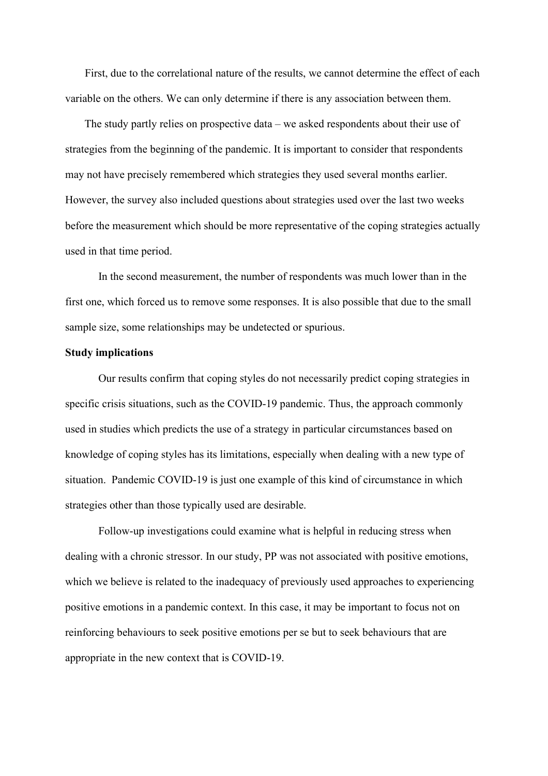First, due to the correlational nature of the results, we cannot determine the effect of each variable on the others. We can only determine if there is any association between them.

The study partly relies on prospective data – we asked respondents about their use of strategies from the beginning of the pandemic. It is important to consider that respondents may not have precisely remembered which strategies they used several months earlier. However, the survey also included questions about strategies used over the last two weeks before the measurement which should be more representative of the coping strategies actually used in that time period.

In the second measurement, the number of respondents was much lower than in the first one, which forced us to remove some responses. It is also possible that due to the small sample size, some relationships may be undetected or spurious.

## **Study implications**

Our results confirm that coping styles do not necessarily predict coping strategies in specific crisis situations, such as the COVID-19 pandemic. Thus, the approach commonly used in studies which predicts the use of a strategy in particular circumstances based on knowledge of coping styles has its limitations, especially when dealing with a new type of situation. Pandemic COVID-19 is just one example of this kind of circumstance in which strategies other than those typically used are desirable.

Follow-up investigations could examine what is helpful in reducing stress when dealing with a chronic stressor. In our study, PP was not associated with positive emotions, which we believe is related to the inadequacy of previously used approaches to experiencing positive emotions in a pandemic context. In this case, it may be important to focus not on reinforcing behaviours to seek positive emotions per se but to seek behaviours that are appropriate in the new context that is COVID-19.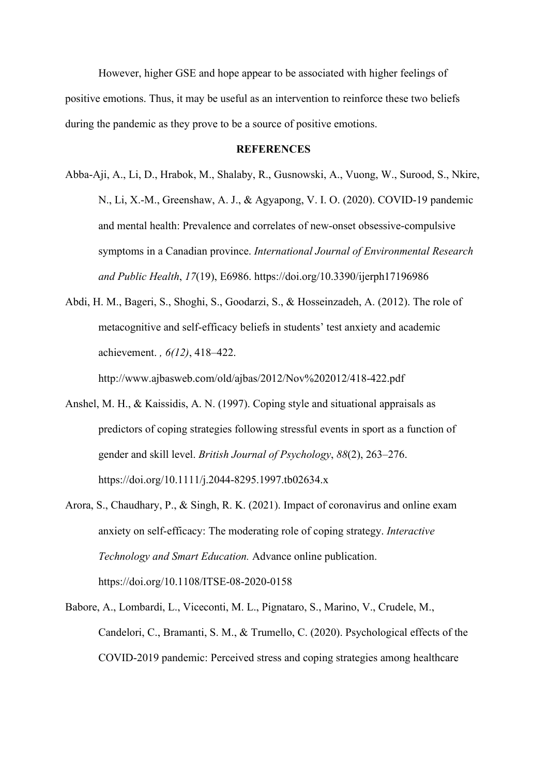However, higher GSE and hope appear to be associated with higher feelings of positive emotions. Thus, it may be useful as an intervention to reinforce these two beliefs during the pandemic as they prove to be a source of positive emotions.

## **REFERENCES**

- Abba-Aji, A., Li, D., Hrabok, M., Shalaby, R., Gusnowski, A., Vuong, W., Surood, S., Nkire, N., Li, X.-M., Greenshaw, A. J., & Agyapong, V. I. O. (2020). COVID-19 pandemic and mental health: Prevalence and correlates of new-onset obsessive-compulsive symptoms in a Canadian province. *International Journal of Environmental Research and Public Health*, *17*(19), E6986. https://doi.org/10.3390/ijerph17196986
- Abdi, H. M., Bageri, S., Shoghi, S., Goodarzi, S., & Hosseinzadeh, A. (2012). The role of metacognitive and self-efficacy beliefs in students' test anxiety and academic achievement. *, 6(12)*, 418–422.

http://www.ajbasweb.com/old/ajbas/2012/Nov%202012/418-422.pdf

- Anshel, M. H., & Kaissidis, A. N. (1997). Coping style and situational appraisals as predictors of coping strategies following stressful events in sport as a function of gender and skill level. *British Journal of Psychology*, *88*(2), 263–276. https://doi.org/10.1111/j.2044-8295.1997.tb02634.x
- Arora, S., Chaudhary, P., & Singh, R. K. (2021). Impact of coronavirus and online exam anxiety on self-efficacy: The moderating role of coping strategy. *Interactive Technology and Smart Education.* Advance online publication. https://doi.org/10.1108/ITSE-08-2020-0158
- Babore, A., Lombardi, L., Viceconti, M. L., Pignataro, S., Marino, V., Crudele, M., Candelori, C., Bramanti, S. M., & Trumello, C. (2020). Psychological effects of the COVID-2019 pandemic: Perceived stress and coping strategies among healthcare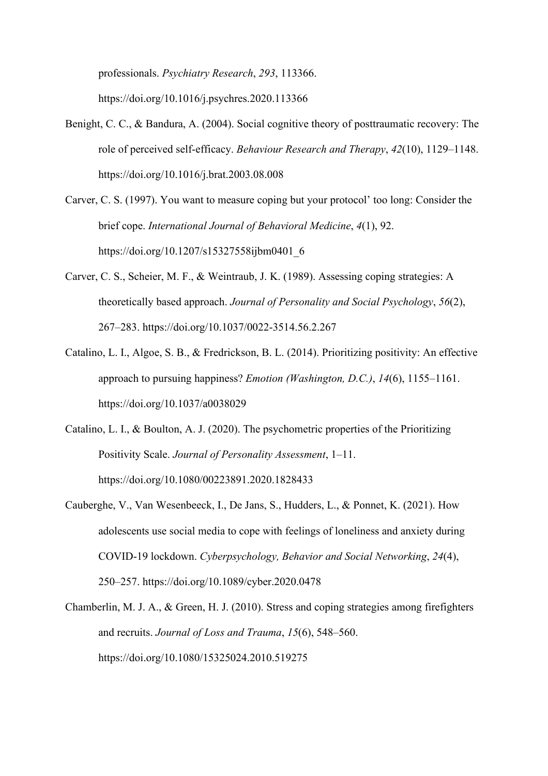professionals. *Psychiatry Research*, *293*, 113366. https://doi.org/10.1016/j.psychres.2020.113366

- Benight, C. C., & Bandura, A. (2004). Social cognitive theory of posttraumatic recovery: The role of perceived self-efficacy. *Behaviour Research and Therapy*, *42*(10), 1129–1148. https://doi.org/10.1016/j.brat.2003.08.008
- Carver, C. S. (1997). You want to measure coping but your protocol' too long: Consider the brief cope. *International Journal of Behavioral Medicine*, *4*(1), 92. https://doi.org/10.1207/s15327558ijbm0401\_6
- Carver, C. S., Scheier, M. F., & Weintraub, J. K. (1989). Assessing coping strategies: A theoretically based approach. *Journal of Personality and Social Psychology*, *56*(2), 267–283. https://doi.org/10.1037/0022-3514.56.2.267
- Catalino, L. I., Algoe, S. B., & Fredrickson, B. L. (2014). Prioritizing positivity: An effective approach to pursuing happiness? *Emotion (Washington, D.C.)*, *14*(6), 1155–1161. https://doi.org/10.1037/a0038029
- Catalino, L. I., & Boulton, A. J. (2020). The psychometric properties of the Prioritizing Positivity Scale. *Journal of Personality Assessment*, 1–11. https://doi.org/10.1080/00223891.2020.1828433
- Cauberghe, V., Van Wesenbeeck, I., De Jans, S., Hudders, L., & Ponnet, K. (2021). How adolescents use social media to cope with feelings of loneliness and anxiety during COVID-19 lockdown. *Cyberpsychology, Behavior and Social Networking*, *24*(4), 250–257. https://doi.org/10.1089/cyber.2020.0478
- Chamberlin, M. J. A., & Green, H. J. (2010). Stress and coping strategies among firefighters and recruits. *Journal of Loss and Trauma*, *15*(6), 548–560. https://doi.org/10.1080/15325024.2010.519275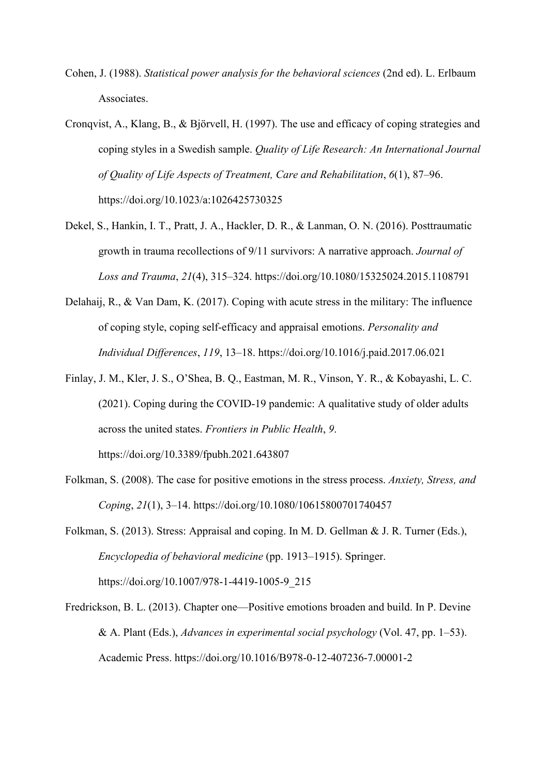- Cohen, J. (1988). *Statistical power analysis for the behavioral sciences* (2nd ed). L. Erlbaum Associates.
- Cronqvist, A., Klang, B., & Björvell, H. (1997). The use and efficacy of coping strategies and coping styles in a Swedish sample. *Quality of Life Research: An International Journal of Quality of Life Aspects of Treatment, Care and Rehabilitation*, *6*(1), 87–96. https://doi.org/10.1023/a:1026425730325
- Dekel, S., Hankin, I. T., Pratt, J. A., Hackler, D. R., & Lanman, O. N. (2016). Posttraumatic growth in trauma recollections of 9/11 survivors: A narrative approach. *Journal of Loss and Trauma*, *21*(4), 315–324. https://doi.org/10.1080/15325024.2015.1108791
- Delahaij, R., & Van Dam, K. (2017). Coping with acute stress in the military: The influence of coping style, coping self-efficacy and appraisal emotions. *Personality and Individual Differences*, *119*, 13–18. https://doi.org/10.1016/j.paid.2017.06.021
- Finlay, J. M., Kler, J. S., O'Shea, B. Q., Eastman, M. R., Vinson, Y. R., & Kobayashi, L. C. (2021). Coping during the COVID-19 pandemic: A qualitative study of older adults across the united states. *Frontiers in Public Health*, *9*. https://doi.org/10.3389/fpubh.2021.643807
- Folkman, S. (2008). The case for positive emotions in the stress process. *Anxiety, Stress, and Coping*, *21*(1), 3–14. https://doi.org/10.1080/10615800701740457
- Folkman, S. (2013). Stress: Appraisal and coping. In M. D. Gellman & J. R. Turner (Eds.), *Encyclopedia of behavioral medicine* (pp. 1913–1915). Springer. https://doi.org/10.1007/978-1-4419-1005-9\_215
- Fredrickson, B. L. (2013). Chapter one—Positive emotions broaden and build. In P. Devine & A. Plant (Eds.), *Advances in experimental social psychology* (Vol. 47, pp. 1–53). Academic Press. https://doi.org/10.1016/B978-0-12-407236-7.00001-2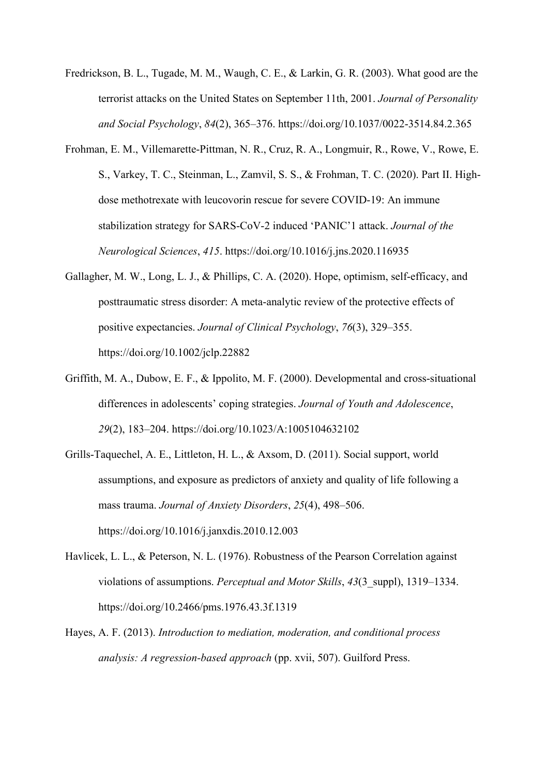- Fredrickson, B. L., Tugade, M. M., Waugh, C. E., & Larkin, G. R. (2003). What good are the terrorist attacks on the United States on September 11th, 2001. *Journal of Personality and Social Psychology*, *84*(2), 365–376. https://doi.org/10.1037/0022-3514.84.2.365
- Frohman, E. M., Villemarette-Pittman, N. R., Cruz, R. A., Longmuir, R., Rowe, V., Rowe, E. S., Varkey, T. C., Steinman, L., Zamvil, S. S., & Frohman, T. C. (2020). Part II. Highdose methotrexate with leucovorin rescue for severe COVID-19: An immune stabilization strategy for SARS-CoV-2 induced 'PANIC'1 attack. *Journal of the Neurological Sciences*, *415*. https://doi.org/10.1016/j.jns.2020.116935
- Gallagher, M. W., Long, L. J., & Phillips, C. A. (2020). Hope, optimism, self-efficacy, and posttraumatic stress disorder: A meta-analytic review of the protective effects of positive expectancies. *Journal of Clinical Psychology*, *76*(3), 329–355. https://doi.org/10.1002/jclp.22882
- Griffith, M. A., Dubow, E. F., & Ippolito, M. F. (2000). Developmental and cross-situational differences in adolescents' coping strategies. *Journal of Youth and Adolescence*, *29*(2), 183–204. https://doi.org/10.1023/A:1005104632102
- Grills-Taquechel, A. E., Littleton, H. L., & Axsom, D. (2011). Social support, world assumptions, and exposure as predictors of anxiety and quality of life following a mass trauma. *Journal of Anxiety Disorders*, *25*(4), 498–506. https://doi.org/10.1016/j.janxdis.2010.12.003
- Havlicek, L. L., & Peterson, N. L. (1976). Robustness of the Pearson Correlation against violations of assumptions. *Perceptual and Motor Skills*, *43*(3\_suppl), 1319–1334. https://doi.org/10.2466/pms.1976.43.3f.1319
- Hayes, A. F. (2013). *Introduction to mediation, moderation, and conditional process analysis: A regression-based approach* (pp. xvii, 507). Guilford Press.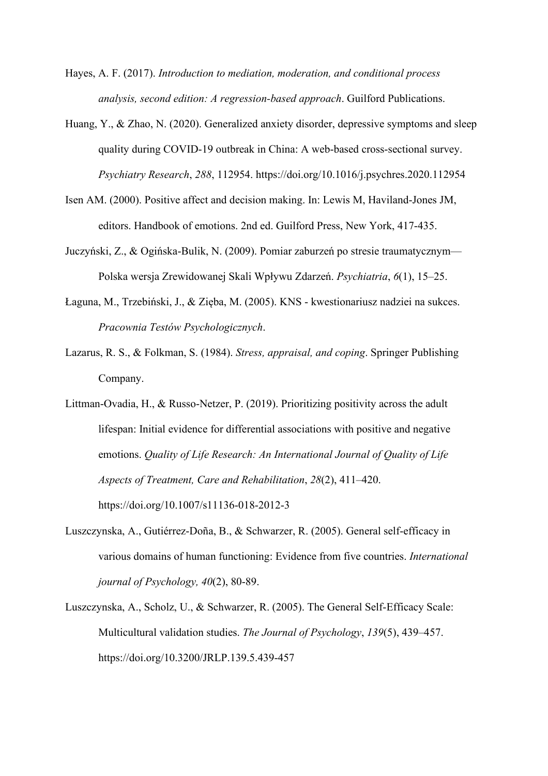- Hayes, A. F. (2017). *Introduction to mediation, moderation, and conditional process analysis, second edition: A regression-based approach*. Guilford Publications.
- Huang, Y., & Zhao, N. (2020). Generalized anxiety disorder, depressive symptoms and sleep quality during COVID-19 outbreak in China: A web-based cross-sectional survey. *Psychiatry Research*, *288*, 112954. https://doi.org/10.1016/j.psychres.2020.112954
- Isen AM. (2000). Positive affect and decision making. In: Lewis M, Haviland-Jones JM, editors. Handbook of emotions. 2nd ed. Guilford Press, New York, 417-435.
- Juczyński, Z., & Ogińska-Bulik, N. (2009). Pomiar zaburzeń po stresie traumatycznym— Polska wersja Zrewidowanej Skali Wpływu Zdarzeń. *Psychiatria*, *6*(1), 15–25.
- Łaguna, M., Trzebiński, J., & Zięba, M. (2005). KNS kwestionariusz nadziei na sukces. *Pracownia Testów Psychologicznych*.
- Lazarus, R. S., & Folkman, S. (1984). *Stress, appraisal, and coping*. Springer Publishing Company.
- Littman-Ovadia, H., & Russo-Netzer, P. (2019). Prioritizing positivity across the adult lifespan: Initial evidence for differential associations with positive and negative emotions. *Quality of Life Research: An International Journal of Quality of Life Aspects of Treatment, Care and Rehabilitation*, *28*(2), 411–420. https://doi.org/10.1007/s11136-018-2012-3
- Luszczynska, A., Gutiérrez‐Doña, B., & Schwarzer, R. (2005). General self‐efficacy in various domains of human functioning: Evidence from five countries. *International journal of Psychology, 40*(2), 80-89.
- Luszczynska, A., Scholz, U., & Schwarzer, R. (2005). The General Self-Efficacy Scale: Multicultural validation studies. *The Journal of Psychology*, *139*(5), 439–457. https://doi.org/10.3200/JRLP.139.5.439-457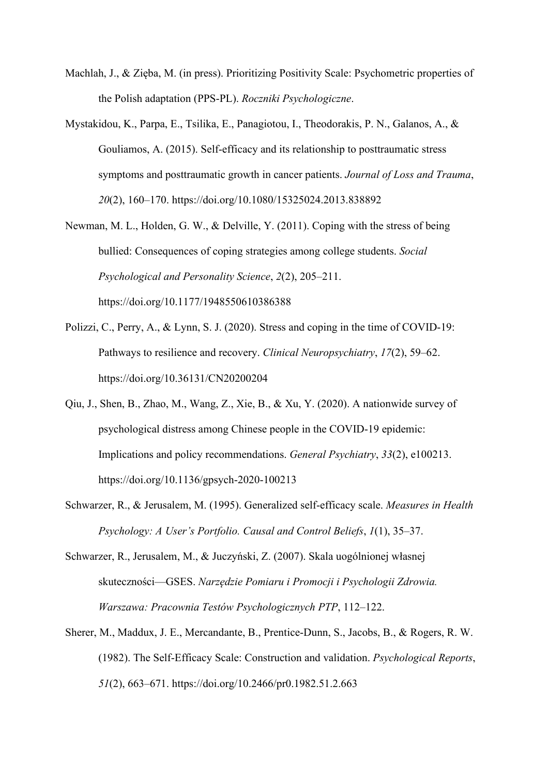- Machlah, J., & Zięba, M. (in press). Prioritizing Positivity Scale: Psychometric properties of the Polish adaptation (PPS-PL). *Roczniki Psychologiczne*.
- Mystakidou, K., Parpa, E., Tsilika, E., Panagiotou, I., Theodorakis, P. N., Galanos, A., & Gouliamos, A. (2015). Self-efficacy and its relationship to posttraumatic stress symptoms and posttraumatic growth in cancer patients. *Journal of Loss and Trauma*, *20*(2), 160–170. https://doi.org/10.1080/15325024.2013.838892
- Newman, M. L., Holden, G. W., & Delville, Y. (2011). Coping with the stress of being bullied: Consequences of coping strategies among college students. *Social Psychological and Personality Science*, *2*(2), 205–211. https://doi.org/10.1177/1948550610386388
- Polizzi, C., Perry, A., & Lynn, S. J. (2020). Stress and coping in the time of COVID-19: Pathways to resilience and recovery. *Clinical Neuropsychiatry*, *17*(2), 59–62. https://doi.org/10.36131/CN20200204
- Qiu, J., Shen, B., Zhao, M., Wang, Z., Xie, B., & Xu, Y. (2020). A nationwide survey of psychological distress among Chinese people in the COVID-19 epidemic: Implications and policy recommendations. *General Psychiatry*, *33*(2), e100213. https://doi.org/10.1136/gpsych-2020-100213
- Schwarzer, R., & Jerusalem, M. (1995). Generalized self-efficacy scale. *Measures in Health Psychology: A User's Portfolio. Causal and Control Beliefs*, *1*(1), 35–37.
- Schwarzer, R., Jerusalem, M., & Juczyński, Z. (2007). Skala uogólnionej własnej skuteczności—GSES. *Narzędzie Pomiaru i Promocji i Psychologii Zdrowia. Warszawa: Pracownia Testów Psychologicznych PTP*, 112–122.
- Sherer, M., Maddux, J. E., Mercandante, B., Prentice-Dunn, S., Jacobs, B., & Rogers, R. W. (1982). The Self-Efficacy Scale: Construction and validation. *Psychological Reports*, *51*(2), 663–671. https://doi.org/10.2466/pr0.1982.51.2.663